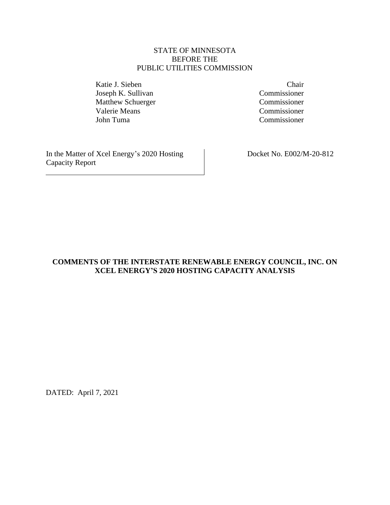## STATE OF MINNESOTA BEFORE THE PUBLIC UTILITIES COMMISSION

Katie J. Sieben Chair Joseph K. Sullivan Commissioner Matthew Schuerger Commissioner Valerie Means<br>
Iohn Tuma<br>
Commissioner<br>
Commissioner

Commissioner

In the Matter of Xcel Energy's 2020 Hosting Capacity Report

Docket No. E002/M-20-812

# **COMMENTS OF THE INTERSTATE RENEWABLE ENERGY COUNCIL, INC. ON XCEL ENERGY'S 2020 HOSTING CAPACITY ANALYSIS**

DATED: April 7, 2021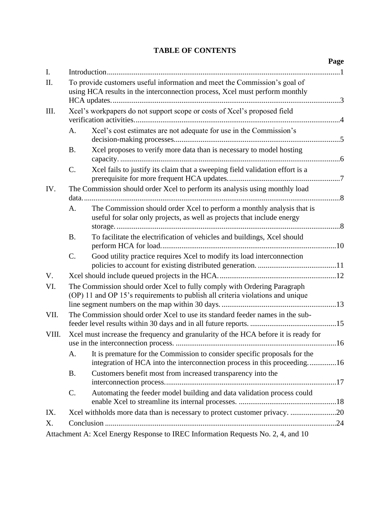# **TABLE OF CONTENTS**

|       |                                                                                                                                                            |                                                                                                                                                       | Page |  |  |
|-------|------------------------------------------------------------------------------------------------------------------------------------------------------------|-------------------------------------------------------------------------------------------------------------------------------------------------------|------|--|--|
| I.    |                                                                                                                                                            |                                                                                                                                                       |      |  |  |
| Π.    | To provide customers useful information and meet the Commission's goal of<br>using HCA results in the interconnection process, Xcel must perform monthly   |                                                                                                                                                       |      |  |  |
| Ш.    | Xcel's workpapers do not support scope or costs of Xcel's proposed field                                                                                   |                                                                                                                                                       |      |  |  |
|       | A.                                                                                                                                                         | Xcel's cost estimates are not adequate for use in the Commission's                                                                                    |      |  |  |
|       | <b>B.</b>                                                                                                                                                  | Xcel proposes to verify more data than is necessary to model hosting                                                                                  |      |  |  |
|       | C.                                                                                                                                                         | Xcel fails to justify its claim that a sweeping field validation effort is a                                                                          |      |  |  |
| IV.   | The Commission should order Xcel to perform its analysis using monthly load                                                                                |                                                                                                                                                       |      |  |  |
|       |                                                                                                                                                            |                                                                                                                                                       |      |  |  |
|       | A.                                                                                                                                                         | The Commission should order Xcel to perform a monthly analysis that is<br>useful for solar only projects, as well as projects that include energy     |      |  |  |
|       | <b>B.</b>                                                                                                                                                  | To facilitate the electrification of vehicles and buildings, Xcel should                                                                              |      |  |  |
|       | C.                                                                                                                                                         | Good utility practice requires Xcel to modify its load interconnection                                                                                |      |  |  |
| V.    |                                                                                                                                                            |                                                                                                                                                       |      |  |  |
| VI.   | The Commission should order Xcel to fully comply with Ordering Paragraph<br>(OP) 11 and OP 15's requirements to publish all criteria violations and unique |                                                                                                                                                       |      |  |  |
| VII.  | The Commission should order Xcel to use its standard feeder names in the sub-                                                                              |                                                                                                                                                       |      |  |  |
| VIII. | Xcel must increase the frequency and granularity of the HCA before it is ready for                                                                         |                                                                                                                                                       |      |  |  |
|       | A.                                                                                                                                                         | It is premature for the Commission to consider specific proposals for the<br>integration of HCA into the interconnection process in this proceeding16 |      |  |  |
|       | <b>B.</b>                                                                                                                                                  | Customers benefit most from increased transparency into the                                                                                           |      |  |  |
|       | C.                                                                                                                                                         | Automating the feeder model building and data validation process could                                                                                |      |  |  |
| IX.   |                                                                                                                                                            | Xcel withholds more data than is necessary to protect customer privacy. 20                                                                            |      |  |  |
| X.    |                                                                                                                                                            |                                                                                                                                                       |      |  |  |
|       |                                                                                                                                                            | Attachment A: Xcel Energy Response to IREC Information Requests No. 2, 4, and 10                                                                      |      |  |  |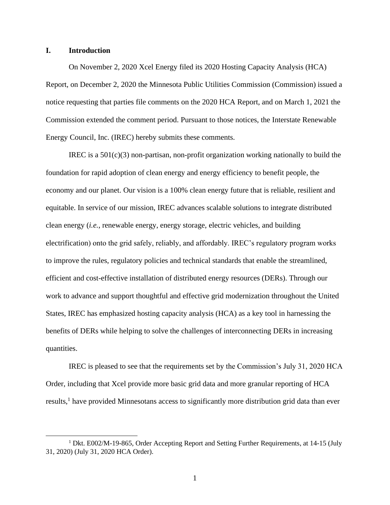#### <span id="page-2-0"></span>**I. Introduction**

On November 2, 2020 Xcel Energy filed its 2020 Hosting Capacity Analysis (HCA) Report, on December 2, 2020 the Minnesota Public Utilities Commission (Commission) issued a notice requesting that parties file comments on the 2020 HCA Report, and on March 1, 2021 the Commission extended the comment period. Pursuant to those notices, the Interstate Renewable Energy Council, Inc. (IREC) hereby submits these comments.

IREC is a 501(c)(3) non-partisan, non-profit organization working nationally to build the foundation for rapid adoption of clean energy and energy efficiency to benefit people, the economy and our planet. Our vision is a 100% clean energy future that is reliable, resilient and equitable. In service of our mission, IREC advances scalable solutions to integrate distributed clean energy (*i.e.*, renewable energy, energy storage, electric vehicles, and building electrification) onto the grid safely, reliably, and affordably. IREC's regulatory program works to improve the rules, regulatory policies and technical standards that enable the streamlined, efficient and cost-effective installation of distributed energy resources (DERs). Through our work to advance and support thoughtful and effective grid modernization throughout the United States, IREC has emphasized hosting capacity analysis (HCA) as a key tool in harnessing the benefits of DERs while helping to solve the challenges of interconnecting DERs in increasing quantities.

IREC is pleased to see that the requirements set by the Commission's July 31, 2020 HCA Order, including that Xcel provide more basic grid data and more granular reporting of HCA results,<sup>1</sup> have provided Minnesotans access to significantly more distribution grid data than ever

<sup>&</sup>lt;sup>1</sup> Dkt. E002/M-19-865, Order Accepting Report and Setting Further Requirements, at 14-15 (July 31, 2020) (July 31, 2020 HCA Order).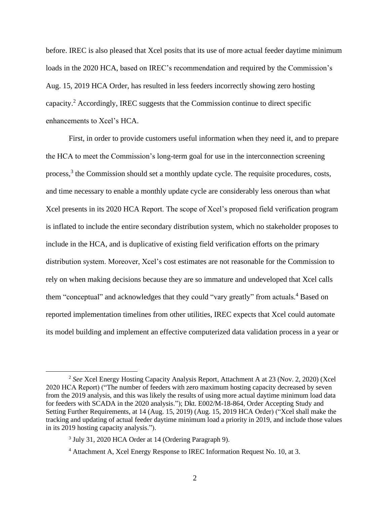before. IREC is also pleased that Xcel posits that its use of more actual feeder daytime minimum loads in the 2020 HCA, based on IREC's recommendation and required by the Commission's Aug. 15, 2019 HCA Order, has resulted in less feeders incorrectly showing zero hosting capacity.<sup>2</sup> Accordingly, IREC suggests that the Commission continue to direct specific enhancements to Xcel's HCA.

First, in order to provide customers useful information when they need it, and to prepare the HCA to meet the Commission's long-term goal for use in the interconnection screening process,<sup>3</sup> the Commission should set a monthly update cycle. The requisite procedures, costs, and time necessary to enable a monthly update cycle are considerably less onerous than what Xcel presents in its 2020 HCA Report. The scope of Xcel's proposed field verification program is inflated to include the entire secondary distribution system, which no stakeholder proposes to include in the HCA, and is duplicative of existing field verification efforts on the primary distribution system. Moreover, Xcel's cost estimates are not reasonable for the Commission to rely on when making decisions because they are so immature and undeveloped that Xcel calls them "conceptual" and acknowledges that they could "vary greatly" from actuals.<sup>4</sup> Based on reported implementation timelines from other utilities, IREC expects that Xcel could automate its model building and implement an effective computerized data validation process in a year or

<sup>2</sup> *See* Xcel Energy Hosting Capacity Analysis Report, Attachment A at 23 (Nov. 2, 2020) (Xcel 2020 HCA Report) ("The number of feeders with zero maximum hosting capacity decreased by seven from the 2019 analysis, and this was likely the results of using more actual daytime minimum load data for feeders with SCADA in the 2020 analysis."); Dkt. E002/M-18-864, Order Accepting Study and Setting Further Requirements, at 14 (Aug. 15, 2019) (Aug. 15, 2019 HCA Order) ("Xcel shall make the tracking and updating of actual feeder daytime minimum load a priority in 2019, and include those values in its 2019 hosting capacity analysis.").

<sup>&</sup>lt;sup>3</sup> July 31, 2020 HCA Order at 14 (Ordering Paragraph 9).

<sup>4</sup> Attachment A, Xcel Energy Response to IREC Information Request No. 10, at 3.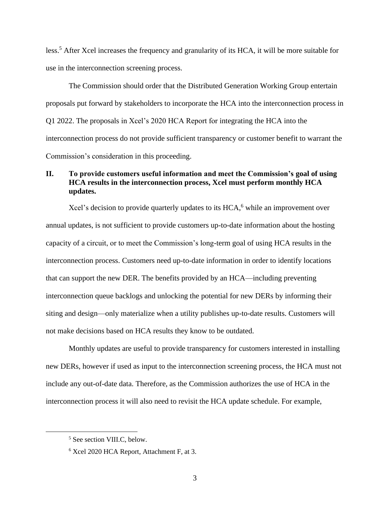less.<sup>5</sup> After Xcel increases the frequency and granularity of its HCA, it will be more suitable for use in the interconnection screening process.

The Commission should order that the Distributed Generation Working Group entertain proposals put forward by stakeholders to incorporate the HCA into the interconnection process in Q1 2022. The proposals in Xcel's 2020 HCA Report for integrating the HCA into the interconnection process do not provide sufficient transparency or customer benefit to warrant the Commission's consideration in this proceeding.

## <span id="page-4-0"></span>**II. To provide customers useful information and meet the Commission's goal of using HCA results in the interconnection process, Xcel must perform monthly HCA updates.**

Xcel's decision to provide quarterly updates to its  $HCA<sub>6</sub><sup>6</sup>$  while an improvement over annual updates, is not sufficient to provide customers up-to-date information about the hosting capacity of a circuit, or to meet the Commission's long-term goal of using HCA results in the interconnection process. Customers need up-to-date information in order to identify locations that can support the new DER. The benefits provided by an HCA—including preventing interconnection queue backlogs and unlocking the potential for new DERs by informing their siting and design—only materialize when a utility publishes up-to-date results. Customers will not make decisions based on HCA results they know to be outdated.

Monthly updates are useful to provide transparency for customers interested in installing new DERs, however if used as input to the interconnection screening process, the HCA must not include any out-of-date data. Therefore, as the Commission authorizes the use of HCA in the interconnection process it will also need to revisit the HCA update schedule. For example,

<sup>5</sup> See section [VIII.C,](#page-19-0) below.

<sup>6</sup> Xcel 2020 HCA Report, Attachment F, at 3.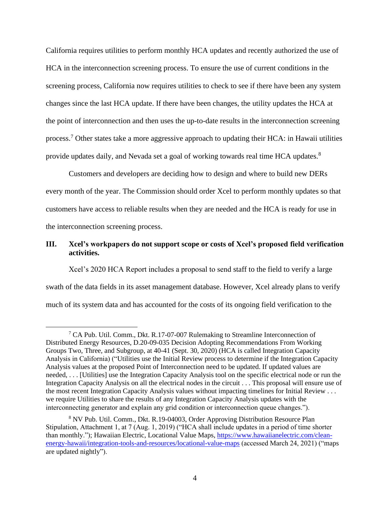California requires utilities to perform monthly HCA updates and recently authorized the use of HCA in the interconnection screening process. To ensure the use of current conditions in the screening process, California now requires utilities to check to see if there have been any system changes since the last HCA update. If there have been changes, the utility updates the HCA at the point of interconnection and then uses the up-to-date results in the interconnection screening process.<sup>7</sup> Other states take a more aggressive approach to updating their HCA: in Hawaii utilities provide updates daily, and Nevada set a goal of working towards real time HCA updates.<sup>8</sup>

Customers and developers are deciding how to design and where to build new DERs every month of the year. The Commission should order Xcel to perform monthly updates so that customers have access to reliable results when they are needed and the HCA is ready for use in the interconnection screening process.

# <span id="page-5-0"></span>**III. Xcel's workpapers do not support scope or costs of Xcel's proposed field verification activities.**

Xcel's 2020 HCA Report includes a proposal to send staff to the field to verify a large swath of the data fields in its asset management database. However, Xcel already plans to verify much of its system data and has accounted for the costs of its ongoing field verification to the

<sup>7</sup> CA Pub. Util. Comm., Dkt. R.17-07-007 Rulemaking to Streamline Interconnection of Distributed Energy Resources, D.20-09-035 Decision Adopting Recommendations From Working Groups Two, Three, and Subgroup, at 40-41 (Sept. 30, 2020) (HCA is called Integration Capacity Analysis in California) ("Utilities use the Initial Review process to determine if the Integration Capacity Analysis values at the proposed Point of Interconnection need to be updated. If updated values are needed, . . . [Utilities] use the Integration Capacity Analysis tool on the specific electrical node or run the Integration Capacity Analysis on all the electrical nodes in the circuit . . . This proposal will ensure use of the most recent Integration Capacity Analysis values without impacting timelines for Initial Review . . . we require Utilities to share the results of any Integration Capacity Analysis updates with the interconnecting generator and explain any grid condition or interconnection queue changes.").

<sup>8</sup> NV Pub. Util. Comm., Dkt. R.19-04003, Order Approving Distribution Resource Plan Stipulation, Attachment 1, at 7 (Aug. 1, 2019) ("HCA shall include updates in a period of time shorter than monthly."); Hawaiian Electric, Locational Value Maps, [https://www.hawaiianelectric.com/clean](https://www.hawaiianelectric.com/clean-energy-hawaii/integration-tools-and-resources/locational-value-maps)[energy-hawaii/integration-tools-and-resources/locational-value-maps](https://www.hawaiianelectric.com/clean-energy-hawaii/integration-tools-and-resources/locational-value-maps) (accessed March 24, 2021) ("maps are updated nightly").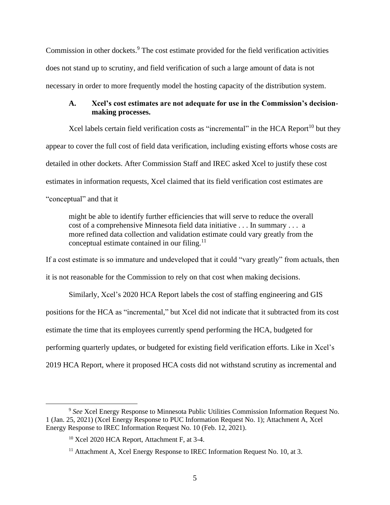Commission in other dockets.<sup>9</sup> The cost estimate provided for the field verification activities does not stand up to scrutiny, and field verification of such a large amount of data is not necessary in order to more frequently model the hosting capacity of the distribution system.

# <span id="page-6-0"></span>**A. Xcel's cost estimates are not adequate for use in the Commission's decisionmaking processes.**

Xcel labels certain field verification costs as "incremental" in the HCA Report<sup>10</sup> but they appear to cover the full cost of field data verification, including existing efforts whose costs are detailed in other dockets. After Commission Staff and IREC asked Xcel to justify these cost estimates in information requests, Xcel claimed that its field verification cost estimates are "conceptual" and that it

might be able to identify further efficiencies that will serve to reduce the overall cost of a comprehensive Minnesota field data initiative . . . In summary . . . a more refined data collection and validation estimate could vary greatly from the conceptual estimate contained in our filing.<sup>11</sup>

If a cost estimate is so immature and undeveloped that it could "vary greatly" from actuals, then

it is not reasonable for the Commission to rely on that cost when making decisions.

Similarly, Xcel's 2020 HCA Report labels the cost of staffing engineering and GIS positions for the HCA as "incremental," but Xcel did not indicate that it subtracted from its cost estimate the time that its employees currently spend performing the HCA, budgeted for performing quarterly updates, or budgeted for existing field verification efforts. Like in Xcel's 2019 HCA Report, where it proposed HCA costs did not withstand scrutiny as incremental and

<sup>9</sup> *See* Xcel Energy Response to Minnesota Public Utilities Commission Information Request No. 1 (Jan. 25, 2021) (Xcel Energy Response to PUC Information Request No. 1); Attachment A, Xcel Energy Response to IREC Information Request No. 10 (Feb. 12, 2021).

<sup>10</sup> Xcel 2020 HCA Report, Attachment F, at 3-4.

<sup>&</sup>lt;sup>11</sup> Attachment A, Xcel Energy Response to IREC Information Request No. 10, at 3.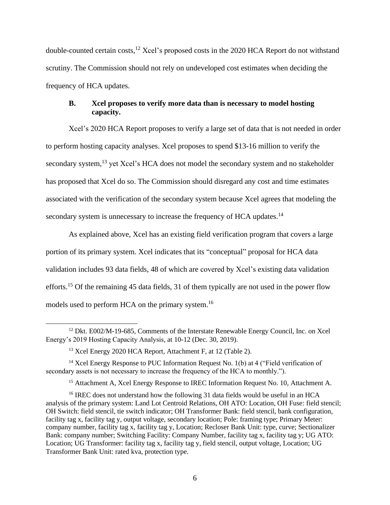double-counted certain costs, <sup>12</sup> Xcel's proposed costs in the 2020 HCA Report do not withstand scrutiny. The Commission should not rely on undeveloped cost estimates when deciding the frequency of HCA updates.

# <span id="page-7-0"></span>**B. Xcel proposes to verify more data than is necessary to model hosting capacity.**

Xcel's 2020 HCA Report proposes to verify a large set of data that is not needed in order to perform hosting capacity analyses. Xcel proposes to spend \$13-16 million to verify the secondary system,<sup>13</sup> yet Xcel's HCA does not model the secondary system and no stakeholder has proposed that Xcel do so. The Commission should disregard any cost and time estimates associated with the verification of the secondary system because Xcel agrees that modeling the secondary system is unnecessary to increase the frequency of HCA updates.<sup>14</sup>

As explained above, Xcel has an existing field verification program that covers a large portion of its primary system. Xcel indicates that its "conceptual" proposal for HCA data validation includes 93 data fields, 48 of which are covered by Xcel's existing data validation efforts.<sup>15</sup> Of the remaining 45 data fields, 31 of them typically are not used in the power flow models used to perform HCA on the primary system.<sup>16</sup>

<sup>15</sup> Attachment A, Xcel Energy Response to IREC Information Request No. 10, Attachment A.

<sup>&</sup>lt;sup>12</sup> Dkt. E002/M-19-685, Comments of the Interstate Renewable Energy Council, Inc. on Xcel Energy's 2019 Hosting Capacity Analysis, at 10-12 (Dec. 30, 2019).

<sup>&</sup>lt;sup>13</sup> Xcel Energy 2020 HCA Report, Attachment F, at 12 (Table 2).

<sup>&</sup>lt;sup>14</sup> Xcel Energy Response to PUC Information Request No. 1(b) at 4 ("Field verification of secondary assets is not necessary to increase the frequency of the HCA to monthly.").

<sup>&</sup>lt;sup>16</sup> IREC does not understand how the following 31 data fields would be useful in an HCA analysis of the primary system: Land Lot Centroid Relations, OH ATO: Location, OH Fuse: field stencil; OH Switch: field stencil, tie switch indicator; OH Transformer Bank: field stencil, bank configuration, facility tag x, facility tag y, output voltage, secondary location; Pole: framing type; Primary Meter: company number, facility tag x, facility tag y, Location; Recloser Bank Unit: type, curve; Sectionalizer Bank: company number; Switching Facility: Company Number, facility tag x, facility tag y; UG ATO: Location; UG Transformer: facility tag x, facility tag y, field stencil, output voltage, Location; UG Transformer Bank Unit: rated kva, protection type.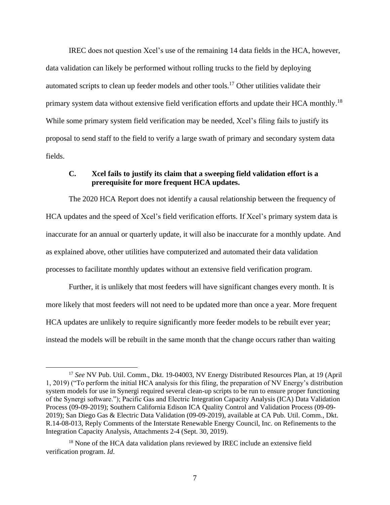IREC does not question Xcel's use of the remaining 14 data fields in the HCA, however, data validation can likely be performed without rolling trucks to the field by deploying automated scripts to clean up feeder models and other tools.<sup>17</sup> Other utilities validate their primary system data without extensive field verification efforts and update their HCA monthly.<sup>18</sup> While some primary system field verification may be needed, Xcel's filing fails to justify its proposal to send staff to the field to verify a large swath of primary and secondary system data fields.

#### <span id="page-8-0"></span>**C. Xcel fails to justify its claim that a sweeping field validation effort is a prerequisite for more frequent HCA updates.**

The 2020 HCA Report does not identify a causal relationship between the frequency of HCA updates and the speed of Xcel's field verification efforts. If Xcel's primary system data is inaccurate for an annual or quarterly update, it will also be inaccurate for a monthly update. And as explained above, other utilities have computerized and automated their data validation processes to facilitate monthly updates without an extensive field verification program.

Further, it is unlikely that most feeders will have significant changes every month. It is more likely that most feeders will not need to be updated more than once a year. More frequent HCA updates are unlikely to require significantly more feeder models to be rebuilt ever year; instead the models will be rebuilt in the same month that the change occurs rather than waiting

<sup>17</sup> *See* NV Pub. Util. Comm., Dkt. 19-04003, NV Energy Distributed Resources Plan, at 19 (April 1, 2019) ("To perform the initial HCA analysis for this filing, the preparation of NV Energy's distribution system models for use in Synergi required several clean-up scripts to be run to ensure proper functioning of the Synergi software."); Pacific Gas and Electric Integration Capacity Analysis (ICA) Data Validation Process (09-09-2019); Southern California Edison ICA Quality Control and Validation Process (09-09- 2019); San Diego Gas & Electric Data Validation (09-09-2019), available at CA Pub. Util. Comm., Dkt. R.14-08-013, Reply Comments of the Interstate Renewable Energy Council, Inc. on Refinements to the Integration Capacity Analysis, Attachments 2-4 (Sept. 30, 2019).

<sup>&</sup>lt;sup>18</sup> None of the HCA data validation plans reviewed by IREC include an extensive field verification program. *Id*.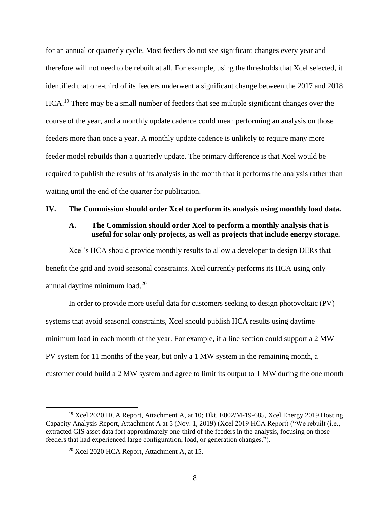for an annual or quarterly cycle. Most feeders do not see significant changes every year and therefore will not need to be rebuilt at all. For example, using the thresholds that Xcel selected, it identified that one-third of its feeders underwent a significant change between the 2017 and 2018 HCA.<sup>19</sup> There may be a small number of feeders that see multiple significant changes over the course of the year, and a monthly update cadence could mean performing an analysis on those feeders more than once a year. A monthly update cadence is unlikely to require many more feeder model rebuilds than a quarterly update. The primary difference is that Xcel would be required to publish the results of its analysis in the month that it performs the analysis rather than waiting until the end of the quarter for publication.

#### <span id="page-9-1"></span><span id="page-9-0"></span>**IV. The Commission should order Xcel to perform its analysis using monthly load data.**

#### **A. The Commission should order Xcel to perform a monthly analysis that is useful for solar only projects, as well as projects that include energy storage.**

Xcel's HCA should provide monthly results to allow a developer to design DERs that benefit the grid and avoid seasonal constraints. Xcel currently performs its HCA using only annual daytime minimum load.<sup>20</sup>

In order to provide more useful data for customers seeking to design photovoltaic (PV) systems that avoid seasonal constraints, Xcel should publish HCA results using daytime minimum load in each month of the year. For example, if a line section could support a 2 MW PV system for 11 months of the year, but only a 1 MW system in the remaining month, a customer could build a 2 MW system and agree to limit its output to 1 MW during the one month

<sup>&</sup>lt;sup>19</sup> Xcel 2020 HCA Report, Attachment A, at 10; Dkt. E002/M-19-685, Xcel Energy 2019 Hosting Capacity Analysis Report, Attachment A at 5 (Nov. 1, 2019) (Xcel 2019 HCA Report) ("We rebuilt (i.e., extracted GIS asset data for) approximately one-third of the feeders in the analysis, focusing on those feeders that had experienced large configuration, load, or generation changes.").

<sup>20</sup> Xcel 2020 HCA Report, Attachment A, at 15.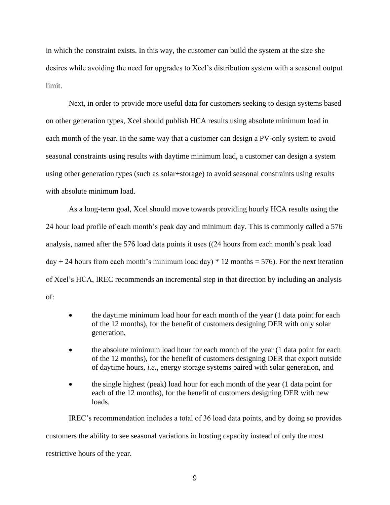in which the constraint exists. In this way, the customer can build the system at the size she desires while avoiding the need for upgrades to Xcel's distribution system with a seasonal output limit.

Next, in order to provide more useful data for customers seeking to design systems based on other generation types, Xcel should publish HCA results using absolute minimum load in each month of the year. In the same way that a customer can design a PV-only system to avoid seasonal constraints using results with daytime minimum load, a customer can design a system using other generation types (such as solar+storage) to avoid seasonal constraints using results with absolute minimum load.

As a long-term goal, Xcel should move towards providing hourly HCA results using the 24 hour load profile of each month's peak day and minimum day. This is commonly called a 576 analysis, named after the 576 load data points it uses ((24 hours from each month's peak load day + 24 hours from each month's minimum load day)  $*$  12 months = 576). For the next iteration of Xcel's HCA, IREC recommends an incremental step in that direction by including an analysis of:

- the daytime minimum load hour for each month of the year (1 data point for each of the 12 months), for the benefit of customers designing DER with only solar generation,
- the absolute minimum load hour for each month of the year (1 data point for each of the 12 months), for the benefit of customers designing DER that export outside of daytime hours, *i.e.*, energy storage systems paired with solar generation, and
- the single highest (peak) load hour for each month of the year (1 data point for each of the 12 months), for the benefit of customers designing DER with new loads.

IREC's recommendation includes a total of 36 load data points, and by doing so provides customers the ability to see seasonal variations in hosting capacity instead of only the most restrictive hours of the year.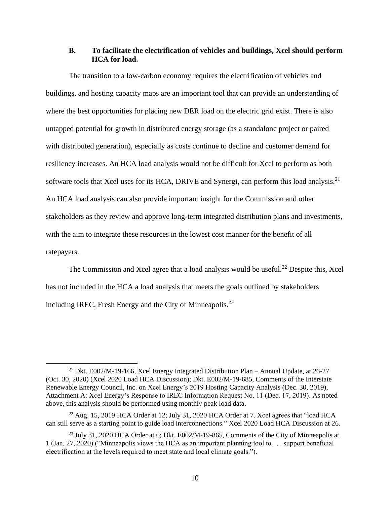## <span id="page-11-0"></span>**B. To facilitate the electrification of vehicles and buildings, Xcel should perform HCA for load.**

The transition to a low-carbon economy requires the electrification of vehicles and buildings, and hosting capacity maps are an important tool that can provide an understanding of where the best opportunities for placing new DER load on the electric grid exist. There is also untapped potential for growth in distributed energy storage (as a standalone project or paired with distributed generation), especially as costs continue to decline and customer demand for resiliency increases. An HCA load analysis would not be difficult for Xcel to perform as both software tools that Xcel uses for its HCA, DRIVE and Synergi, can perform this load analysis.<sup>21</sup> An HCA load analysis can also provide important insight for the Commission and other stakeholders as they review and approve long-term integrated distribution plans and investments, with the aim to integrate these resources in the lowest cost manner for the benefit of all ratepayers.

The Commission and Xcel agree that a load analysis would be useful.<sup>22</sup> Despite this, Xcel has not included in the HCA a load analysis that meets the goals outlined by stakeholders including IREC, Fresh Energy and the City of Minneapolis.<sup>23</sup>

<sup>21</sup> Dkt. E002/M-19-166, Xcel Energy Integrated Distribution Plan – Annual Update, at 26-27 (Oct. 30, 2020) (Xcel 2020 Load HCA Discussion); Dkt. E002/M-19-685, Comments of the Interstate Renewable Energy Council, Inc. on Xcel Energy's 2019 Hosting Capacity Analysis (Dec. 30, 2019), Attachment A: Xcel Energy's Response to IREC Information Request No. 11 (Dec. 17, 2019). As noted above, this analysis should be performed using monthly peak load data.

 $^{22}$  Aug. 15, 2019 HCA Order at 12; July 31, 2020 HCA Order at 7. Xcel agrees that "load HCA can still serve as a starting point to guide load interconnections." Xcel 2020 Load HCA Discussion at 26.

<sup>&</sup>lt;sup>23</sup> July 31, 2020 HCA Order at 6; Dkt. E002/M-19-865, Comments of the City of Minneapolis at 1 (Jan. 27, 2020) ("Minneapolis views the HCA as an important planning tool to . . . support beneficial electrification at the levels required to meet state and local climate goals.").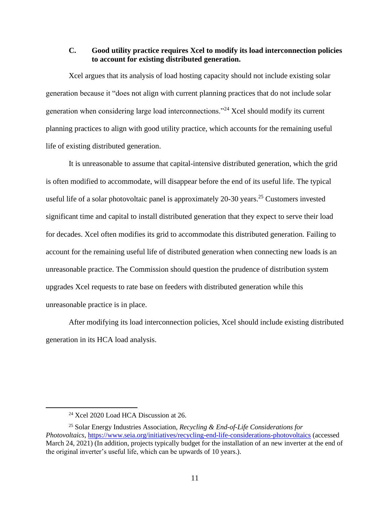## <span id="page-12-0"></span>**C. Good utility practice requires Xcel to modify its load interconnection policies to account for existing distributed generation.**

Xcel argues that its analysis of load hosting capacity should not include existing solar generation because it "does not align with current planning practices that do not include solar generation when considering large load interconnections."<sup>24</sup> Xcel should modify its current planning practices to align with good utility practice, which accounts for the remaining useful life of existing distributed generation.

It is unreasonable to assume that capital-intensive distributed generation, which the grid is often modified to accommodate, will disappear before the end of its useful life. The typical useful life of a solar photovoltaic panel is approximately  $20-30$  years.<sup>25</sup> Customers invested significant time and capital to install distributed generation that they expect to serve their load for decades. Xcel often modifies its grid to accommodate this distributed generation. Failing to account for the remaining useful life of distributed generation when connecting new loads is an unreasonable practice. The Commission should question the prudence of distribution system upgrades Xcel requests to rate base on feeders with distributed generation while this unreasonable practice is in place.

After modifying its load interconnection policies, Xcel should include existing distributed generation in its HCA load analysis.

<sup>24</sup> Xcel 2020 Load HCA Discussion at 26.

<sup>25</sup> Solar Energy Industries Association, *Recycling & End-of-Life Considerations for Photovoltaics*,<https://www.seia.org/initiatives/recycling-end-life-considerations-photovoltaics> (accessed March 24, 2021) (In addition, projects typically budget for the installation of an new inverter at the end of the original inverter's useful life, which can be upwards of 10 years.).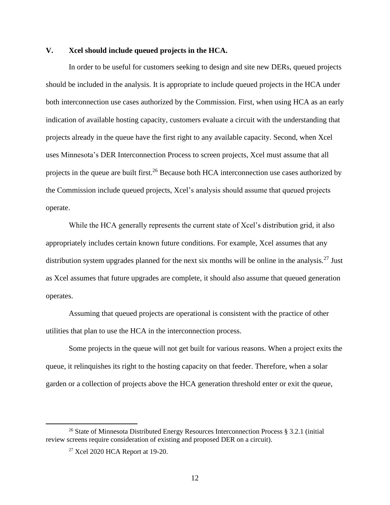# <span id="page-13-0"></span>**V. Xcel should include queued projects in the HCA.**

In order to be useful for customers seeking to design and site new DERs, queued projects should be included in the analysis. It is appropriate to include queued projects in the HCA under both interconnection use cases authorized by the Commission. First, when using HCA as an early indication of available hosting capacity, customers evaluate a circuit with the understanding that projects already in the queue have the first right to any available capacity. Second, when Xcel uses Minnesota's DER Interconnection Process to screen projects, Xcel must assume that all projects in the queue are built first.<sup>26</sup> Because both HCA interconnection use cases authorized by the Commission include queued projects, Xcel's analysis should assume that queued projects operate.

While the HCA generally represents the current state of Xcel's distribution grid, it also appropriately includes certain known future conditions. For example, Xcel assumes that any distribution system upgrades planned for the next six months will be online in the analysis.<sup>27</sup> Just as Xcel assumes that future upgrades are complete, it should also assume that queued generation operates.

Assuming that queued projects are operational is consistent with the practice of other utilities that plan to use the HCA in the interconnection process.

Some projects in the queue will not get built for various reasons. When a project exits the queue, it relinquishes its right to the hosting capacity on that feeder. Therefore, when a solar garden or a collection of projects above the HCA generation threshold enter or exit the queue,

<sup>26</sup> State of Minnesota Distributed Energy Resources Interconnection Process § 3.2.1 (initial review screens require consideration of existing and proposed DER on a circuit).

<sup>&</sup>lt;sup>27</sup> Xcel 2020 HCA Report at 19-20.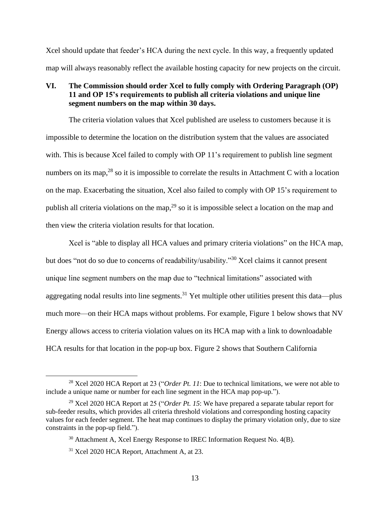Xcel should update that feeder's HCA during the next cycle. In this way, a frequently updated map will always reasonably reflect the available hosting capacity for new projects on the circuit.

## <span id="page-14-0"></span>**VI. The Commission should order Xcel to fully comply with Ordering Paragraph (OP) 11 and OP 15's requirements to publish all criteria violations and unique line segment numbers on the map within 30 days.**

The criteria violation values that Xcel published are useless to customers because it is impossible to determine the location on the distribution system that the values are associated with. This is because Xcel failed to comply with OP 11's requirement to publish line segment numbers on its map,  $28$  so it is impossible to correlate the results in Attachment C with a location on the map. Exacerbating the situation, Xcel also failed to comply with OP 15's requirement to publish all criteria violations on the map,<sup>29</sup> so it is impossible select a location on the map and then view the criteria violation results for that location.

Xcel is "able to display all HCA values and primary criteria violations" on the HCA map, but does "not do so due to concerns of readability/usability."<sup>30</sup> Xcel claims it cannot present unique line segment numbers on the map due to "technical limitations" associated with aggregating nodal results into line segments.<sup>31</sup> Yet multiple other utilities present this data—plus much more—on their HCA maps without problems. For example, Figure 1 below shows that NV Energy allows access to criteria violation values on its HCA map with a link to downloadable HCA results for that location in the pop-up box. Figure 2 shows that Southern California

<sup>&</sup>lt;sup>28</sup> Xcel 2020 HCA Report at 23 ("*Order Pt. 11*: Due to technical limitations, we were not able to include a unique name or number for each line segment in the HCA map pop-up.").

<sup>29</sup> Xcel 2020 HCA Report at 25 ("*Order Pt. 15*: We have prepared a separate tabular report for sub-feeder results, which provides all criteria threshold violations and corresponding hosting capacity values for each feeder segment. The heat map continues to display the primary violation only, due to size constraints in the pop-up field.").

<sup>&</sup>lt;sup>30</sup> Attachment A, Xcel Energy Response to IREC Information Request No. 4(B).

<sup>31</sup> Xcel 2020 HCA Report, Attachment A, at 23.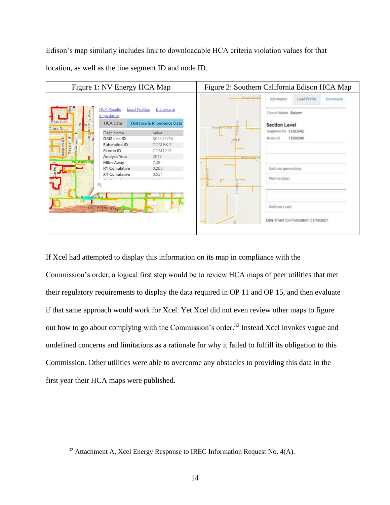Edison's map similarly includes link to downloadable HCA criteria violation values for that location, as well as the line segment ID and node ID.



If Xcel had attempted to display this information on its map in compliance with the Commission's order, a logical first step would be to review HCA maps of peer utilities that met their regulatory requirements to display the data required in OP 11 and OP 15, and then evaluate if that same approach would work for Xcel. Yet Xcel did not even review other maps to figure out how to go about complying with the Commission's order. <sup>32</sup> Instead Xcel invokes vague and undefined concerns and limitations as a rationale for why it failed to fulfill its obligation to this Commission. Other utilities were able to overcome any obstacles to providing this data in the first year their HCA maps were published.

<sup>&</sup>lt;sup>32</sup> Attachment A, Xcel Energy Response to IREC Information Request No. 4(A).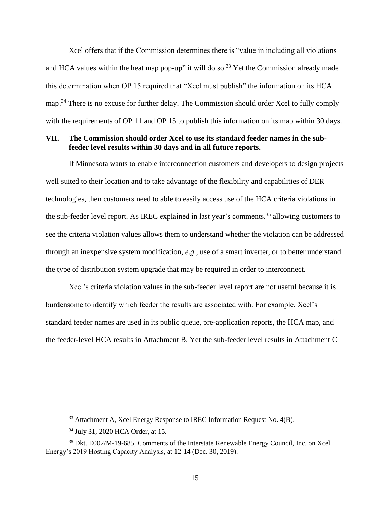Xcel offers that if the Commission determines there is "value in including all violations and HCA values within the heat map pop-up" it will do so.<sup>33</sup> Yet the Commission already made this determination when OP 15 required that "Xcel must publish" the information on its HCA map.<sup>34</sup> There is no excuse for further delay. The Commission should order Xcel to fully comply with the requirements of OP 11 and OP 15 to publish this information on its map within 30 days.

## <span id="page-16-0"></span>**VII. The Commission should order Xcel to use its standard feeder names in the subfeeder level results within 30 days and in all future reports.**

If Minnesota wants to enable interconnection customers and developers to design projects well suited to their location and to take advantage of the flexibility and capabilities of DER technologies, then customers need to able to easily access use of the HCA criteria violations in the sub-feeder level report. As IREC explained in last year's comments,<sup>35</sup> allowing customers to see the criteria violation values allows them to understand whether the violation can be addressed through an inexpensive system modification, *e.g.*, use of a smart inverter, or to better understand the type of distribution system upgrade that may be required in order to interconnect.

Xcel's criteria violation values in the sub-feeder level report are not useful because it is burdensome to identify which feeder the results are associated with. For example, Xcel's standard feeder names are used in its public queue, pre-application reports, the HCA map, and the feeder-level HCA results in Attachment B. Yet the sub-feeder level results in Attachment C

<sup>&</sup>lt;sup>33</sup> Attachment A, Xcel Energy Response to IREC Information Request No. 4(B).

<sup>34</sup> July 31, 2020 HCA Order, at 15.

<sup>35</sup> Dkt. E002/M-19-685, Comments of the Interstate Renewable Energy Council, Inc. on Xcel Energy's 2019 Hosting Capacity Analysis, at 12-14 (Dec. 30, 2019).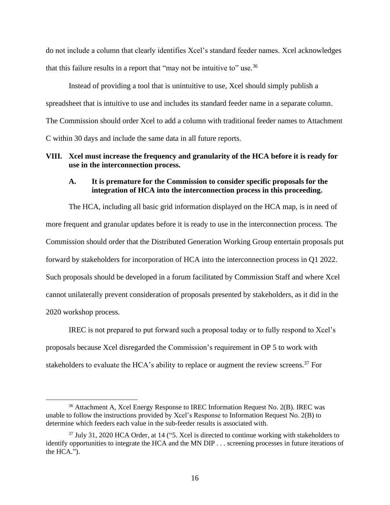do not include a column that clearly identifies Xcel's standard feeder names. Xcel acknowledges that this failure results in a report that "may not be intuitive to" use.<sup>36</sup>

Instead of providing a tool that is unintuitive to use, Xcel should simply publish a spreadsheet that is intuitive to use and includes its standard feeder name in a separate column. The Commission should order Xcel to add a column with traditional feeder names to Attachment C within 30 days and include the same data in all future reports.

#### <span id="page-17-1"></span><span id="page-17-0"></span>**VIII. Xcel must increase the frequency and granularity of the HCA before it is ready for use in the interconnection process.**

#### **A. It is premature for the Commission to consider specific proposals for the integration of HCA into the interconnection process in this proceeding.**

The HCA, including all basic grid information displayed on the HCA map, is in need of more frequent and granular updates before it is ready to use in the interconnection process. The Commission should order that the Distributed Generation Working Group entertain proposals put forward by stakeholders for incorporation of HCA into the interconnection process in Q1 2022. Such proposals should be developed in a forum facilitated by Commission Staff and where Xcel cannot unilaterally prevent consideration of proposals presented by stakeholders, as it did in the 2020 workshop process.

IREC is not prepared to put forward such a proposal today or to fully respond to Xcel's proposals because Xcel disregarded the Commission's requirement in OP 5 to work with stakeholders to evaluate the HCA's ability to replace or augment the review screens.<sup>37</sup> For

<sup>36</sup> Attachment A, Xcel Energy Response to IREC Information Request No. 2(B). IREC was unable to follow the instructions provided by Xcel's Response to Information Request No. 2(B) to determine which feeders each value in the sub-feeder results is associated with.

<sup>&</sup>lt;sup>37</sup> July 31, 2020 HCA Order, at 14 ("5. Xcel is directed to continue working with stakeholders to identify opportunities to integrate the HCA and the MN DIP . . . screening processes in future iterations of the HCA.").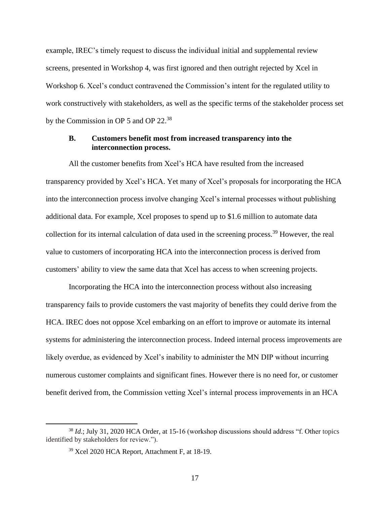example, IREC's timely request to discuss the individual initial and supplemental review screens, presented in Workshop 4, was first ignored and then outright rejected by Xcel in Workshop 6. Xcel's conduct contravened the Commission's intent for the regulated utility to work constructively with stakeholders, as well as the specific terms of the stakeholder process set by the Commission in OP 5 and OP 22.<sup>38</sup>

## <span id="page-18-0"></span>**B. Customers benefit most from increased transparency into the interconnection process.**

All the customer benefits from Xcel's HCA have resulted from the increased transparency provided by Xcel's HCA. Yet many of Xcel's proposals for incorporating the HCA into the interconnection process involve changing Xcel's internal processes without publishing additional data. For example, Xcel proposes to spend up to \$1.6 million to automate data collection for its internal calculation of data used in the screening process. <sup>39</sup> However, the real value to customers of incorporating HCA into the interconnection process is derived from customers' ability to view the same data that Xcel has access to when screening projects.

Incorporating the HCA into the interconnection process without also increasing transparency fails to provide customers the vast majority of benefits they could derive from the HCA. IREC does not oppose Xcel embarking on an effort to improve or automate its internal systems for administering the interconnection process. Indeed internal process improvements are likely overdue, as evidenced by Xcel's inability to administer the MN DIP without incurring numerous customer complaints and significant fines. However there is no need for, or customer benefit derived from, the Commission vetting Xcel's internal process improvements in an HCA

<sup>&</sup>lt;sup>38</sup> *Id*.; July 31, 2020 HCA Order, at 15-16 (workshop discussions should address "f. Other topics identified by stakeholders for review.").

<sup>39</sup> Xcel 2020 HCA Report, Attachment F, at 18-19.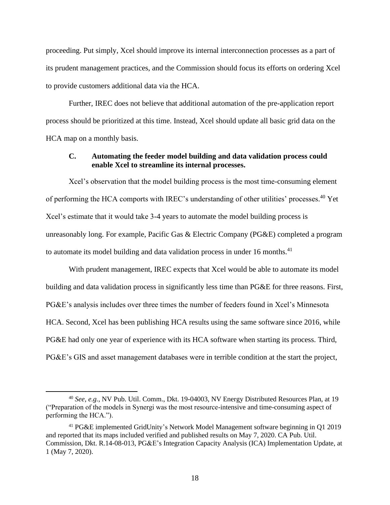proceeding. Put simply, Xcel should improve its internal interconnection processes as a part of its prudent management practices, and the Commission should focus its efforts on ordering Xcel to provide customers additional data via the HCA.

Further, IREC does not believe that additional automation of the pre-application report process should be prioritized at this time. Instead, Xcel should update all basic grid data on the HCA map on a monthly basis.

#### <span id="page-19-0"></span>**C. Automating the feeder model building and data validation process could enable Xcel to streamline its internal processes.**

Xcel's observation that the model building process is the most time-consuming element of performing the HCA comports with IREC's understanding of other utilities' processes.<sup>40</sup> Yet Xcel's estimate that it would take 3-4 years to automate the model building process is unreasonably long. For example, Pacific Gas & Electric Company (PG&E) completed a program to automate its model building and data validation process in under 16 months.<sup>41</sup>

With prudent management, IREC expects that Xcel would be able to automate its model building and data validation process in significantly less time than PG&E for three reasons. First, PG&E's analysis includes over three times the number of feeders found in Xcel's Minnesota HCA. Second, Xcel has been publishing HCA results using the same software since 2016, while PG&E had only one year of experience with its HCA software when starting its process. Third, PG&E's GIS and asset management databases were in terrible condition at the start the project,

<sup>40</sup> *See*, *e.g.*, NV Pub. Util. Comm., Dkt. 19-04003, NV Energy Distributed Resources Plan, at 19 ("Preparation of the models in Synergi was the most resource-intensive and time-consuming aspect of performing the HCA.").

<sup>41</sup> PG&E implemented GridUnity's Network Model Management software beginning in Q1 2019 and reported that its maps included verified and published results on May 7, 2020. CA Pub. Util. Commission, Dkt. R.14-08-013, PG&E's Integration Capacity Analysis (ICA) Implementation Update, at 1 (May 7, 2020).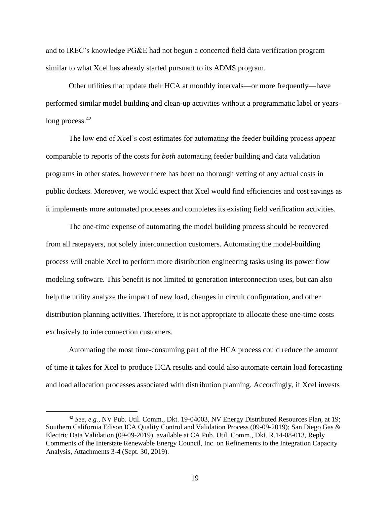and to IREC's knowledge PG&E had not begun a concerted field data verification program similar to what Xcel has already started pursuant to its ADMS program.

Other utilities that update their HCA at monthly intervals—or more frequently—have performed similar model building and clean-up activities without a programmatic label or yearslong process.  $42$ 

The low end of Xcel's cost estimates for automating the feeder building process appear comparable to reports of the costs for *both* automating feeder building and data validation programs in other states, however there has been no thorough vetting of any actual costs in public dockets. Moreover, we would expect that Xcel would find efficiencies and cost savings as it implements more automated processes and completes its existing field verification activities.

The one-time expense of automating the model building process should be recovered from all ratepayers, not solely interconnection customers. Automating the model-building process will enable Xcel to perform more distribution engineering tasks using its power flow modeling software. This benefit is not limited to generation interconnection uses, but can also help the utility analyze the impact of new load, changes in circuit configuration, and other distribution planning activities. Therefore, it is not appropriate to allocate these one-time costs exclusively to interconnection customers.

Automating the most time-consuming part of the HCA process could reduce the amount of time it takes for Xcel to produce HCA results and could also automate certain load forecasting and load allocation processes associated with distribution planning. Accordingly, if Xcel invests

<sup>42</sup> *See*, *e.g.*, NV Pub. Util. Comm., Dkt. 19-04003, NV Energy Distributed Resources Plan, at 19; Southern California Edison ICA Quality Control and Validation Process (09-09-2019); San Diego Gas & Electric Data Validation (09-09-2019), available at CA Pub. Util. Comm., Dkt. R.14-08-013, Reply Comments of the Interstate Renewable Energy Council, Inc. on Refinements to the Integration Capacity Analysis, Attachments 3-4 (Sept. 30, 2019).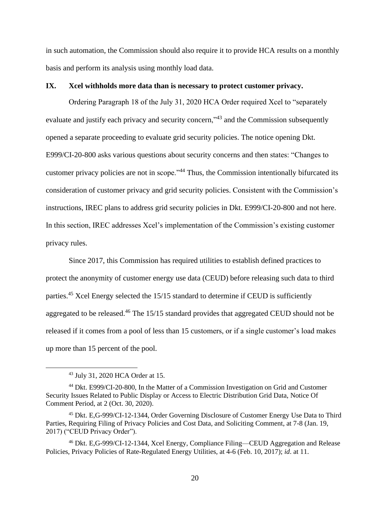in such automation, the Commission should also require it to provide HCA results on a monthly basis and perform its analysis using monthly load data.

#### <span id="page-21-0"></span>**IX. Xcel withholds more data than is necessary to protect customer privacy.**

Ordering Paragraph 18 of the July 31, 2020 HCA Order required Xcel to "separately evaluate and justify each privacy and security concern,"<sup>43</sup> and the Commission subsequently opened a separate proceeding to evaluate grid security policies. The notice opening Dkt. E999/CI-20-800 asks various questions about security concerns and then states: "Changes to customer privacy policies are not in scope."<sup>44</sup> Thus, the Commission intentionally bifurcated its consideration of customer privacy and grid security policies. Consistent with the Commission's instructions, IREC plans to address grid security policies in Dkt. E999/CI-20-800 and not here. In this section, IREC addresses Xcel's implementation of the Commission's existing customer privacy rules.

Since 2017, this Commission has required utilities to establish defined practices to protect the anonymity of customer energy use data (CEUD) before releasing such data to third parties.<sup>45</sup> Xcel Energy selected the 15/15 standard to determine if CEUD is sufficiently aggregated to be released.<sup>46</sup> The 15/15 standard provides that aggregated CEUD should not be released if it comes from a pool of less than 15 customers, or if a single customer's load makes up more than 15 percent of the pool.

<sup>43</sup> July 31, 2020 HCA Order at 15.

<sup>44</sup> Dkt. E999/CI-20-800, In the Matter of a Commission Investigation on Grid and Customer Security Issues Related to Public Display or Access to Electric Distribution Grid Data, Notice Of Comment Period, at 2 (Oct. 30, 2020).

<sup>45</sup> Dkt. E,G-999/CI-12-1344, Order Governing Disclosure of Customer Energy Use Data to Third Parties, Requiring Filing of Privacy Policies and Cost Data, and Soliciting Comment, at 7-8 (Jan. 19, 2017) ("CEUD Privacy Order").

<sup>46</sup> Dkt. E,G-999/CI-12-1344, Xcel Energy, Compliance Filing—CEUD Aggregation and Release Policies, Privacy Policies of Rate-Regulated Energy Utilities, at 4-6 (Feb. 10, 2017); *id*. at 11.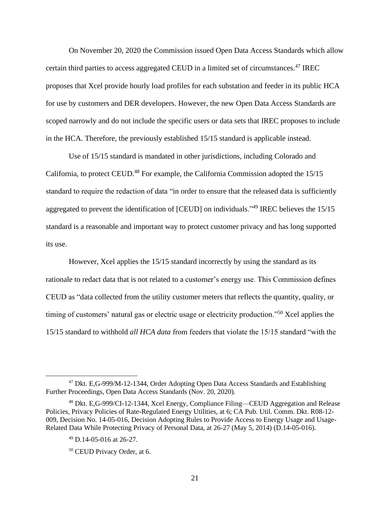On November 20, 2020 the Commission issued Open Data Access Standards which allow certain third parties to access aggregated CEUD in a limited set of circumstances.<sup>47</sup> IREC proposes that Xcel provide hourly load profiles for each substation and feeder in its public HCA for use by customers and DER developers. However, the new Open Data Access Standards are scoped narrowly and do not include the specific users or data sets that IREC proposes to include in the HCA. Therefore, the previously established 15/15 standard is applicable instead.

Use of 15/15 standard is mandated in other jurisdictions, including Colorado and California, to protect CEUD.<sup>48</sup> For example, the California Commission adopted the 15/15 standard to require the redaction of data "in order to ensure that the released data is sufficiently aggregated to prevent the identification of [CEUD] on individuals."<sup>49</sup> IREC believes the 15/15 standard is a reasonable and important way to protect customer privacy and has long supported its use.

However, Xcel applies the 15/15 standard incorrectly by using the standard as its rationale to redact data that is not related to a customer's energy use. This Commission defines CEUD as "data collected from the utility customer meters that reflects the quantity, quality, or timing of customers' natural gas or electric usage or electricity production."<sup>50</sup> Xcel applies the 15/15 standard to withhold *all HCA data* from feeders that violate the 15/15 standard "with the

<sup>47</sup> Dkt. E,G-999/M-12-1344, Order Adopting Open Data Access Standards and Establishing Further Proceedings, Open Data Access Standards (Nov. 20, 2020).

<sup>48</sup> Dkt. E,G-999/CI-12-1344, Xcel Energy, Compliance Filing—CEUD Aggregation and Release Policies, Privacy Policies of Rate-Regulated Energy Utilities, at 6; CA Pub. Util. Comm. Dkt. R08-12- 009, Decision No. 14-05-016, Decision Adopting Rules to Provide Access to Energy Usage and Usage-Related Data While Protecting Privacy of Personal Data, at 26-27 (May 5, 2014) (D.14-05-016).

<sup>49</sup> D.14-05-016 at 26-27.

<sup>50</sup> CEUD Privacy Order, at 6.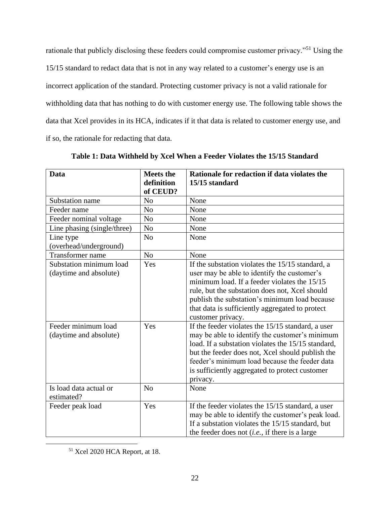rationale that publicly disclosing these feeders could compromise customer privacy."<sup>51</sup> Using the 15/15 standard to redact data that is not in any way related to a customer's energy use is an incorrect application of the standard. Protecting customer privacy is not a valid rationale for withholding data that has nothing to do with customer energy use. The following table shows the data that Xcel provides in its HCA, indicates if it that data is related to customer energy use, and if so, the rationale for redacting that data.

| <b>Data</b>                 | <b>Meets the</b> | Rationale for redaction if data violates the       |  |
|-----------------------------|------------------|----------------------------------------------------|--|
|                             | definition       | 15/15 standard                                     |  |
|                             | of CEUD?         |                                                    |  |
| Substation name             | N <sub>0</sub>   | None                                               |  |
| Feeder name                 | N <sub>o</sub>   | None                                               |  |
| Feeder nominal voltage      | N <sub>o</sub>   | None                                               |  |
| Line phasing (single/three) | N <sub>o</sub>   | None                                               |  |
| Line type                   | N <sub>o</sub>   | None                                               |  |
| (overhead/underground)      |                  |                                                    |  |
| Transformer name            | N <sub>o</sub>   | None                                               |  |
| Substation minimum load     | Yes              | If the substation violates the 15/15 standard, a   |  |
| (daytime and absolute)      |                  | user may be able to identify the customer's        |  |
|                             |                  | minimum load. If a feeder violates the 15/15       |  |
|                             |                  | rule, but the substation does not, Xcel should     |  |
|                             |                  | publish the substation's minimum load because      |  |
|                             |                  | that data is sufficiently aggregated to protect    |  |
|                             |                  | customer privacy.                                  |  |
| Feeder minimum load         | Yes              | If the feeder violates the 15/15 standard, a user  |  |
| (daytime and absolute)      |                  | may be able to identify the customer's minimum     |  |
|                             |                  | load. If a substation violates the 15/15 standard, |  |
|                             |                  | but the feeder does not, Xcel should publish the   |  |
|                             |                  | feeder's minimum load because the feeder data      |  |
|                             |                  | is sufficiently aggregated to protect customer     |  |
|                             |                  | privacy.                                           |  |
| Is load data actual or      | No               | None                                               |  |
| estimated?                  |                  |                                                    |  |
| Feeder peak load            | Yes              | If the feeder violates the 15/15 standard, a user  |  |
|                             |                  | may be able to identify the customer's peak load.  |  |
|                             |                  | If a substation violates the 15/15 standard, but   |  |
|                             |                  | the feeder does not $(i.e., if there is a large$   |  |

**Table 1: Data Withheld by Xcel When a Feeder Violates the 15/15 Standard**

<sup>51</sup> Xcel 2020 HCA Report, at 18.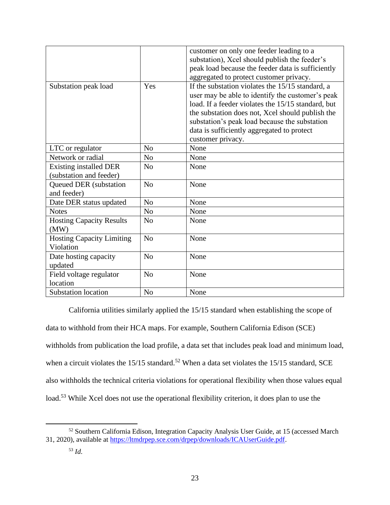|                                                   |                | customer on only one feeder leading to a<br>substation), Xcel should publish the feeder's<br>peak load because the feeder data is sufficiently<br>aggregated to protect customer privacy.                                                                                                                                          |
|---------------------------------------------------|----------------|------------------------------------------------------------------------------------------------------------------------------------------------------------------------------------------------------------------------------------------------------------------------------------------------------------------------------------|
| Substation peak load                              | Yes            | If the substation violates the 15/15 standard, a<br>user may be able to identify the customer's peak<br>load. If a feeder violates the 15/15 standard, but<br>the substation does not, Xcel should publish the<br>substation's peak load because the substation<br>data is sufficiently aggregated to protect<br>customer privacy. |
| LTC or regulator                                  | N <sub>0</sub> | None                                                                                                                                                                                                                                                                                                                               |
| Network or radial                                 | N <sub>0</sub> | None                                                                                                                                                                                                                                                                                                                               |
| Existing installed DER<br>(substation and feeder) | N <sub>0</sub> | None                                                                                                                                                                                                                                                                                                                               |
| <b>Queued DER</b> (substation<br>and feeder)      | N <sub>0</sub> | None                                                                                                                                                                                                                                                                                                                               |
| Date DER status updated                           | N <sub>0</sub> | None                                                                                                                                                                                                                                                                                                                               |
| <b>Notes</b>                                      | N <sub>o</sub> | None                                                                                                                                                                                                                                                                                                                               |
| <b>Hosting Capacity Results</b><br>(MW)           | N <sub>0</sub> | None                                                                                                                                                                                                                                                                                                                               |
| <b>Hosting Capacity Limiting</b><br>Violation     | N <sub>o</sub> | None                                                                                                                                                                                                                                                                                                                               |
| Date hosting capacity<br>updated                  | No             | None                                                                                                                                                                                                                                                                                                                               |
| Field voltage regulator<br>location               | No             | None                                                                                                                                                                                                                                                                                                                               |
| <b>Substation location</b>                        | N <sub>o</sub> | None                                                                                                                                                                                                                                                                                                                               |

California utilities similarly applied the 15/15 standard when establishing the scope of data to withhold from their HCA maps. For example, Southern California Edison (SCE) withholds from publication the load profile, a data set that includes peak load and minimum load, when a circuit violates the  $15/15$  standard.<sup>52</sup> When a data set violates the  $15/15$  standard, SCE also withholds the technical criteria violations for operational flexibility when those values equal load.<sup>53</sup> While Xcel does not use the operational flexibility criterion, it does plan to use the

<sup>52</sup> Southern California Edison, Integration Capacity Analysis User Guide, at 15 (accessed March 31, 2020), available at [https://ltmdrpep.sce.com/drpep/downloads/ICAUserGuide.pdf.](https://ltmdrpep.sce.com/drpep/downloads/ICAUserGuide.pdf)

<sup>53</sup> *Id*.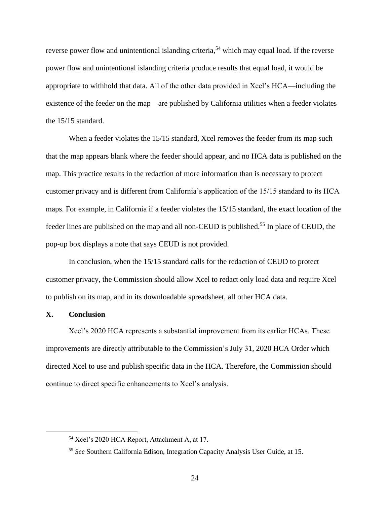reverse power flow and unintentional islanding criteria,<sup>54</sup> which may equal load. If the reverse power flow and unintentional islanding criteria produce results that equal load, it would be appropriate to withhold that data. All of the other data provided in Xcel's HCA—including the existence of the feeder on the map—are published by California utilities when a feeder violates the 15/15 standard.

When a feeder violates the 15/15 standard, Xcel removes the feeder from its map such that the map appears blank where the feeder should appear, and no HCA data is published on the map. This practice results in the redaction of more information than is necessary to protect customer privacy and is different from California's application of the 15/15 standard to its HCA maps. For example, in California if a feeder violates the 15/15 standard, the exact location of the feeder lines are published on the map and all non-CEUD is published.<sup>55</sup> In place of CEUD, the pop-up box displays a note that says CEUD is not provided.

In conclusion, when the 15/15 standard calls for the redaction of CEUD to protect customer privacy, the Commission should allow Xcel to redact only load data and require Xcel to publish on its map, and in its downloadable spreadsheet, all other HCA data.

#### <span id="page-25-0"></span>**X. Conclusion**

Xcel's 2020 HCA represents a substantial improvement from its earlier HCAs. These improvements are directly attributable to the Commission's July 31, 2020 HCA Order which directed Xcel to use and publish specific data in the HCA. Therefore, the Commission should continue to direct specific enhancements to Xcel's analysis.

<sup>54</sup> Xcel's 2020 HCA Report, Attachment A, at 17.

<sup>55</sup> *See* Southern California Edison, Integration Capacity Analysis User Guide, at 15.